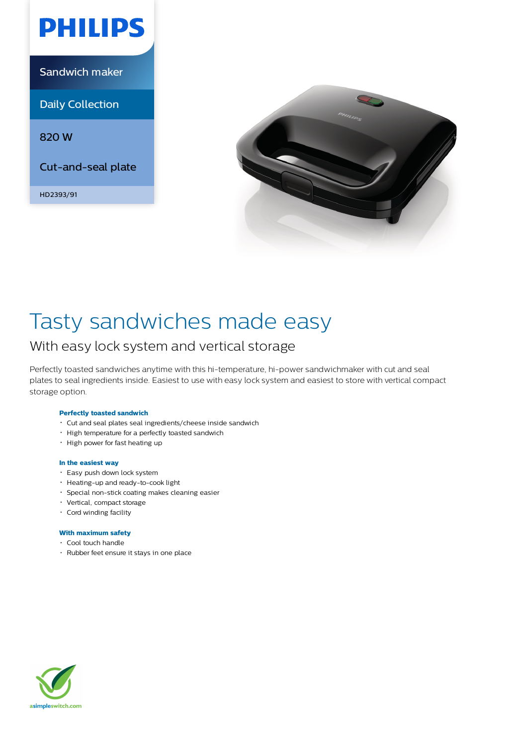

Sandwich maker

Daily Collection

820 W

Cut-and-seal plate

HD2393/91



# Tasty sandwiches made easy

### With easy lock system and vertical storage

Perfectly toasted sandwiches anytime with this hi-temperature, hi-power sandwichmaker with cut and seal plates to seal ingredients inside. Easiest to use with easy lock system and easiest to store with vertical compact storage option.

#### **Perfectly toasted sandwich**

- Cut and seal plates seal ingredients/cheese inside sandwich
- High temperature for a perfectly toasted sandwich
- High power for fast heating up

#### **In the easiest way**

- Easy push down lock system
- Heating-up and ready-to-cook light
- Special non-stick coating makes cleaning easier
- Vertical, compact storage
- Cord winding facility

#### **With maximum safety**

- Cool touch handle
- Rubber feet ensure it stays in one place